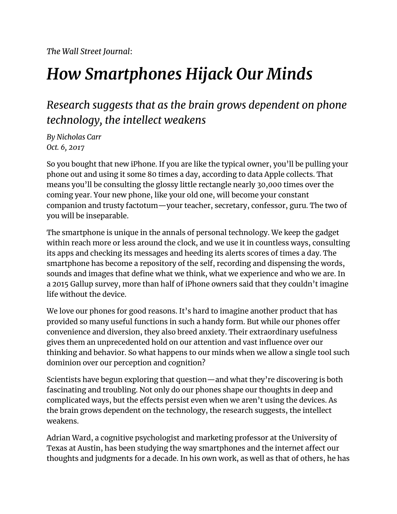*The Wall Street Journal*:

## *How Smartphones Hijack Our Minds*

## *Research suggests that as the brain grows dependent on phone technology, the intellect weakens*

*By Nicholas Carr Oct. 6, 2017*

So you bought that new iPhone. If you are like the typical owner, you'll be pulling your phone out and using it some 80 times a day, according to data Apple collects. That means you'll be consulting the glossy little rectangle nearly 30,000 times over the coming year. Your new phone, like your old one, will become your constant companion and trusty factotum—your teacher, secretary, confessor, guru. The two of you will be inseparable.

The smartphone is unique in the annals of personal technology. We keep the gadget within reach more or less around the clock, and we use it in countless ways, consulting its apps and checking its messages and heeding its alerts scores of times a day. The smartphone has become a repository of the self, recording and dispensing the words, sounds and images that define what we think, what we experience and who we are. In a 2015 Gallup survey, more than half of iPhone owners said that they couldn't imagine life without the device.

We love our phones for good reasons. It's hard to imagine another product that has provided so many useful functions in such a handy form. But while our phones offer convenience and diversion, they also breed anxiety. Their extraordinary usefulness gives them an unprecedented hold on our attention and vast influence over our thinking and behavior. So what happens to our minds when we allow a single tool such dominion over our perception and cognition?

Scientists have begun exploring that question—and what they're discovering is both fascinating and troubling. Not only do our phones shape our thoughts in deep and complicated ways, but the effects persist even when we aren't using the devices. As the brain grows dependent on the technology, the research suggests, the intellect weakens.

Adrian Ward, a cognitive psychologist and marketing professor at the University of Texas at Austin, has been studying the way smartphones and the internet affect our thoughts and judgments for a decade. In his own work, as well as that of others, he has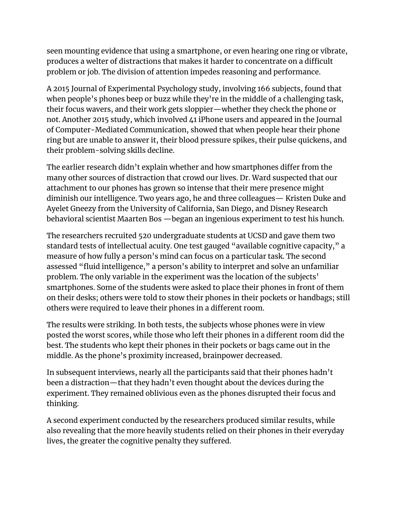seen mounting evidence that using a smartphone, or even hearing one ring or vibrate, produces a welter of distractions that makes it harder to concentrate on a difficult problem or job. The division of attention impedes reasoning and performance.

A 2015 Journal of Experimental Psychology study, involving 166 subjects, found that when people's phones beep or buzz while they're in the middle of a challenging task, their focus wavers, and their work gets sloppier—whether they check the phone or not. Another 2015 study, which involved 41 iPhone users and appeared in the Journal of Computer-Mediated Communication, showed that when people hear their phone ring but are unable to answer it, their blood pressure spikes, their pulse quickens, and their problem-solving skills decline.

The earlier research didn't explain whether and how smartphones differ from the many other sources of distraction that crowd our lives. Dr. Ward suspected that our attachment to our phones has grown so intense that their mere presence might diminish our intelligence. Two years ago, he and three colleagues— Kristen Duke and Ayelet Gneezy from the University of California, San Diego, and Disney Research behavioral scientist Maarten Bos —began an ingenious experiment to test his hunch.

The researchers recruited 520 undergraduate students at UCSD and gave them two standard tests of intellectual acuity. One test gauged "available cognitive capacity," a measure of how fully a person's mind can focus on a particular task. The second assessed "fluid intelligence," a person's ability to interpret and solve an unfamiliar problem. The only variable in the experiment was the location of the subjects' smartphones. Some of the students were asked to place their phones in front of them on their desks; others were told to stow their phones in their pockets or handbags; still others were required to leave their phones in a different room.

The results were striking. In both tests, the subjects whose phones were in view posted the worst scores, while those who left their phones in a different room did the best. The students who kept their phones in their pockets or bags came out in the middle. As the phone's proximity increased, brainpower decreased.

In subsequent interviews, nearly all the participants said that their phones hadn't been a distraction—that they hadn't even thought about the devices during the experiment. They remained oblivious even as the phones disrupted their focus and thinking.

A second experiment conducted by the researchers produced similar results, while also revealing that the more heavily students relied on their phones in their everyday lives, the greater the cognitive penalty they suffered.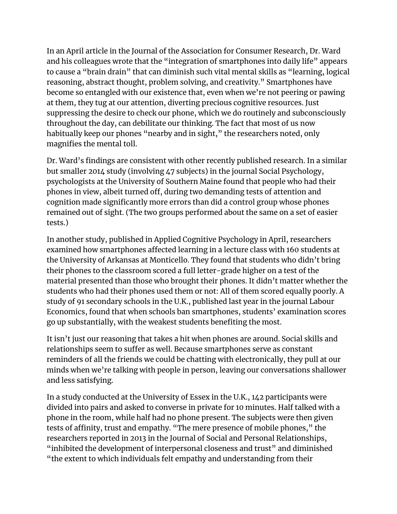In an April article in the Journal of the Association for Consumer Research, Dr. Ward and his colleagues wrote that the "integration of smartphones into daily life" appears to cause a "brain drain" that can diminish such vital mental skills as "learning, logical reasoning, abstract thought, problem solving, and creativity." Smartphones have become so entangled with our existence that, even when we're not peering or pawing at them, they tug at our attention, diverting precious cognitive resources. Just suppressing the desire to check our phone, which we do routinely and subconsciously throughout the day, can debilitate our thinking. The fact that most of us now habitually keep our phones "nearby and in sight," the researchers noted, only magnifies the mental toll.

Dr. Ward's findings are consistent with other recently published research. In a similar but smaller 2014 study (involving 47 subjects) in the journal Social Psychology, psychologists at the University of Southern Maine found that people who had their phones in view, albeit turned off, during two demanding tests of attention and cognition made significantly more errors than did a control group whose phones remained out of sight. (The two groups performed about the same on a set of easier tests.)

In another study, published in Applied Cognitive Psychology in April, researchers examined how smartphones affected learning in a lecture class with 160 students at the University of Arkansas at Monticello. They found that students who didn't bring their phones to the classroom scored a full letter-grade higher on a test of the material presented than those who brought their phones. It didn't matter whether the students who had their phones used them or not: All of them scored equally poorly. A study of 91 secondary schools in the U.K., published last year in the journal Labour Economics, found that when schools ban smartphones, students' examination scores go up substantially, with the weakest students benefiting the most.

It isn't just our reasoning that takes a hit when phones are around. Social skills and relationships seem to suffer as well. Because smartphones serve as constant reminders of all the friends we could be chatting with electronically, they pull at our minds when we're talking with people in person, leaving our conversations shallower and less satisfying.

In a study conducted at the University of Essex in the U.K., 142 participants were divided into pairs and asked to converse in private for 10 minutes. Half talked with a phone in the room, while half had no phone present. The subjects were then given tests of affinity, trust and empathy. "The mere presence of mobile phones," the researchers reported in 2013 in the Journal of Social and Personal Relationships, "inhibited the development of interpersonal closeness and trust" and diminished "the extent to which individuals felt empathy and understanding from their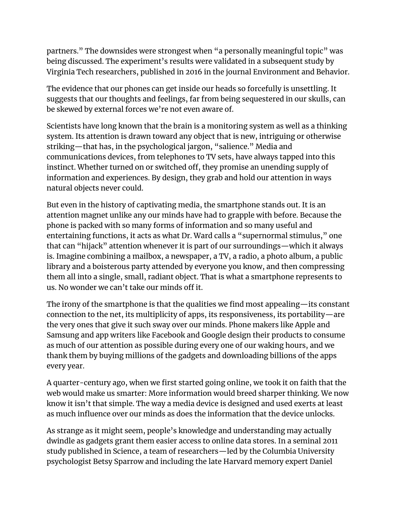partners." The downsides were strongest when "a personally meaningful topic" was being discussed. The experiment's results were validated in a subsequent study by Virginia Tech researchers, published in 2016 in the journal Environment and Behavior.

The evidence that our phones can get inside our heads so forcefully is unsettling. It suggests that our thoughts and feelings, far from being sequestered in our skulls, can be skewed by external forces we're not even aware of.

Scientists have long known that the brain is a monitoring system as well as a thinking system. Its attention is drawn toward any object that is new, intriguing or otherwise striking—that has, in the psychological jargon, "salience." Media and communications devices, from telephones to TV sets, have always tapped into this instinct. Whether turned on or switched off, they promise an unending supply of information and experiences. By design, they grab and hold our attention in ways natural objects never could.

But even in the history of captivating media, the smartphone stands out. It is an attention magnet unlike any our minds have had to grapple with before. Because the phone is packed with so many forms of information and so many useful and entertaining functions, it acts as what Dr. Ward calls a "supernormal stimulus," one that can "hijack" attention whenever it is part of our surroundings—which it always is. Imagine combining a mailbox, a newspaper, a TV, a radio, a photo album, a public library and a boisterous party attended by everyone you know, and then compressing them all into a single, small, radiant object. That is what a smartphone represents to us. No wonder we can't take our minds off it.

The irony of the smartphone is that the qualities we find most appealing—its constant connection to the net, its multiplicity of apps, its responsiveness, its portability—are the very ones that give it such sway over our minds. Phone makers like Apple and Samsung and app writers like Facebook and Google design their products to consume as much of our attention as possible during every one of our waking hours, and we thank them by buying millions of the gadgets and downloading billions of the apps every year.

A quarter-century ago, when we first started going online, we took it on faith that the web would make us smarter: More information would breed sharper thinking. We now know it isn't that simple. The way a media device is designed and used exerts at least as much influence over our minds as does the information that the device unlocks.

As strange as it might seem, people's knowledge and understanding may actually dwindle as gadgets grant them easier access to online data stores. In a seminal 2011 study published in Science, a team of researchers—led by the Columbia University psychologist Betsy Sparrow and including the late Harvard memory expert Daniel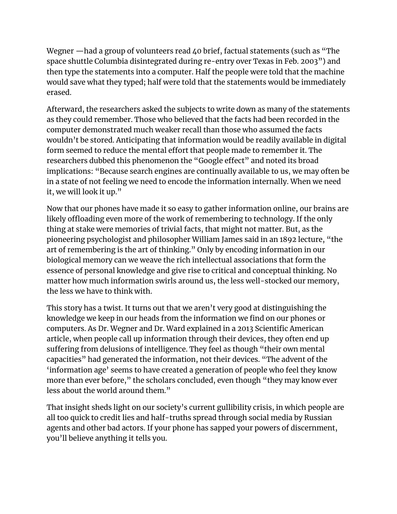Wegner —had a group of volunteers read 40 brief, factual statements (such as "The space shuttle Columbia disintegrated during re-entry over Texas in Feb. 2003") and then type the statements into a computer. Half the people were told that the machine would save what they typed; half were told that the statements would be immediately erased.

Afterward, the researchers asked the subjects to write down as many of the statements as they could remember. Those who believed that the facts had been recorded in the computer demonstrated much weaker recall than those who assumed the facts wouldn't be stored. Anticipating that information would be readily available in digital form seemed to reduce the mental effort that people made to remember it. The researchers dubbed this phenomenon the "Google effect" and noted its broad implications: "Because search engines are continually available to us, we may often be in a state of not feeling we need to encode the information internally. When we need it, we will look it up."

Now that our phones have made it so easy to gather information online, our brains are likely offloading even more of the work of remembering to technology. If the only thing at stake were memories of trivial facts, that might not matter. But, as the pioneering psychologist and philosopher William James said in an 1892 lecture, "the art of remembering is the art of thinking." Only by encoding information in our biological memory can we weave the rich intellectual associations that form the essence of personal knowledge and give rise to critical and conceptual thinking. No matter how much information swirls around us, the less well-stocked our memory, the less we have to think with.

This story has a twist. It turns out that we aren't very good at distinguishing the knowledge we keep in our heads from the information we find on our phones or computers. As Dr. Wegner and Dr. Ward explained in a 2013 Scientific American article, when people call up information through their devices, they often end up suffering from delusions of intelligence. They feel as though "their own mental capacities" had generated the information, not their devices. "The advent of the 'information age' seems to have created a generation of people who feel they know more than ever before," the scholars concluded, even though "they may know ever less about the world around them."

That insight sheds light on our society's current gullibility crisis, in which people are all too quick to credit lies and half-truths spread through social media by Russian agents and other bad actors. If your phone has sapped your powers of discernment, you'll believe anything it tells you.